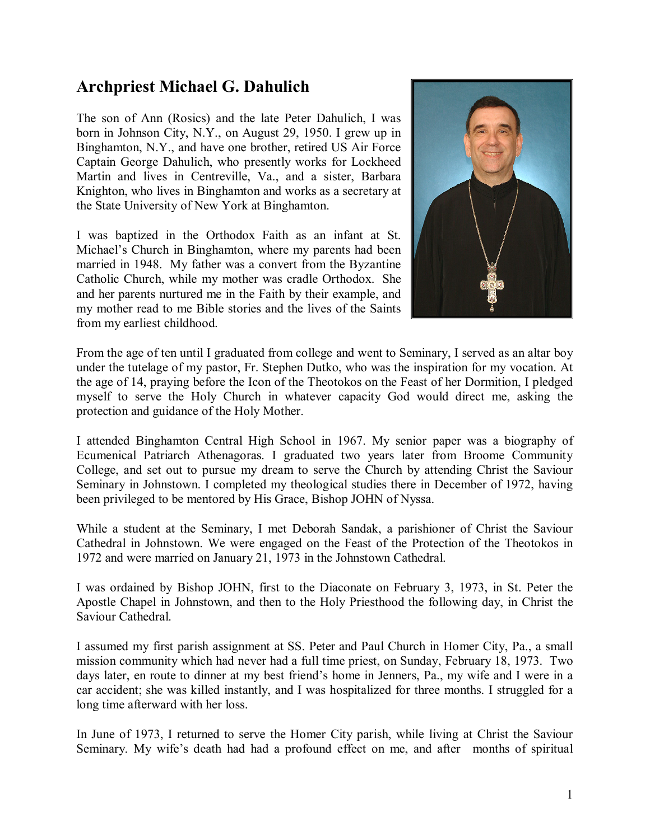# Archpriest Michael G. Dahulich

The son of Ann (Rosics) and the late Peter Dahulich, I was born in Johnson City, N.Y., on August 29, 1950. I grew up in Binghamton, N.Y., and have one brother, retired US Air Force Captain George Dahulich, who presently works for Lockheed Martin and lives in Centreville, Va., and a sister, Barbara Knighton, who lives in Binghamton and works as a secretary at the State University of New York at Binghamton.

I was baptized in the Orthodox Faith as an infant at St. Michael's Church in Binghamton, where my parents had been married in 1948. My father was a convert from the Byzantine Catholic Church, while my mother was cradle Orthodox. She and her parents nurtured me in the Faith by their example, and my mother read to me Bible stories and the lives of the Saints from my earliest childhood.



From the age of ten until I graduated from college and went to Seminary, I served as an altar boy under the tutelage of my pastor, Fr. Stephen Dutko, who was the inspiration for my vocation. At the age of 14, praying before the Icon of the Theotokos on the Feast of her Dormition, I pledged myself to serve the Holy Church in whatever capacity God would direct me, asking the protection and guidance of the Holy Mother.

I attended Binghamton Central High School in 1967. My senior paper was a biography of Ecumenical Patriarch Athenagoras. I graduated two years later from Broome Community College, and set out to pursue my dream to serve the Church by attending Christ the Saviour Seminary in Johnstown. I completed my theological studies there in December of 1972, having been privileged to be mentored by His Grace, Bishop JOHN of Nyssa.

While a student at the Seminary, I met Deborah Sandak, a parishioner of Christ the Saviour Cathedral in Johnstown. We were engaged on the Feast of the Protection of the Theotokos in 1972 and were married on January 21, 1973 in the Johnstown Cathedral.

I was ordained by Bishop JOHN, first to the Diaconate on February 3, 1973, in St. Peter the Apostle Chapel in Johnstown, and then to the Holy Priesthood the following day, in Christ the Saviour Cathedral.

I assumed my first parish assignment at SS. Peter and Paul Church in Homer City, Pa., a small mission community which had never had a full time priest, on Sunday, February 18, 1973. Two days later, en route to dinner at my best friend's home in Jenners, Pa., my wife and I were in a car accident; she was killed instantly, and I was hospitalized for three months. I struggled for a long time afterward with her loss.

In June of 1973, I returned to serve the Homer City parish, while living at Christ the Saviour Seminary. My wife's death had had a profound effect on me, and after months of spiritual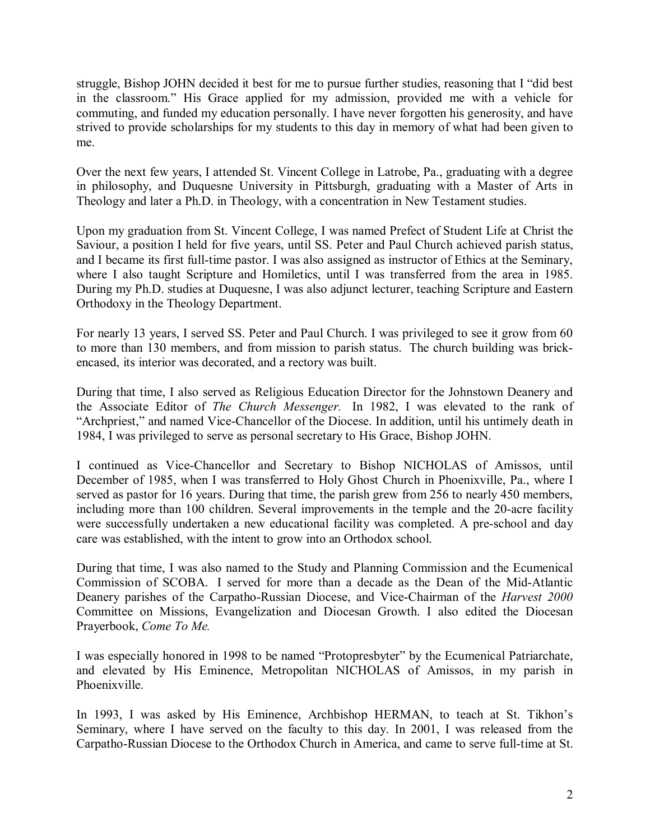struggle, Bishop JOHN decided it best for me to pursue further studies, reasoning that I "did best in the classroom." His Grace applied for my admission, provided me with a vehicle for commuting, and funded my education personally. I have never forgotten his generosity, and have strived to provide scholarships for my students to this day in memory of what had been given to me.

Over the next few years, I attended St. Vincent College in Latrobe, Pa., graduating with a degree in philosophy, and Duquesne University in Pittsburgh, graduating with a Master of Arts in Theology and later a Ph.D. in Theology, with a concentration in New Testament studies.

Upon my graduation from St. Vincent College, I was named Prefect of Student Life at Christ the Saviour, a position I held for five years, until SS. Peter and Paul Church achieved parish status, and I became its first full-time pastor. I was also assigned as instructor of Ethics at the Seminary, where I also taught Scripture and Homiletics, until I was transferred from the area in 1985. During my Ph.D. studies at Duquesne, I was also adjunct lecturer, teaching Scripture and Eastern Orthodoxy in the Theology Department.

For nearly 13 years, I served SS. Peter and Paul Church. I was privileged to see it grow from 60 to more than 130 members, and from mission to parish status. The church building was brickencased, its interior was decorated, and a rectory was built.

During that time, I also served as Religious Education Director for the Johnstown Deanery and the Associate Editor of The Church Messenger. In 1982, I was elevated to the rank of "Archpriest," and named Vice-Chancellor of the Diocese. In addition, until his untimely death in 1984, I was privileged to serve as personal secretary to His Grace, Bishop JOHN.

I continued as Vice-Chancellor and Secretary to Bishop NICHOLAS of Amissos, until December of 1985, when I was transferred to Holy Ghost Church in Phoenixville, Pa., where I served as pastor for 16 years. During that time, the parish grew from 256 to nearly 450 members, including more than 100 children. Several improvements in the temple and the 20-acre facility were successfully undertaken a new educational facility was completed. A pre-school and day care was established, with the intent to grow into an Orthodox school.

During that time, I was also named to the Study and Planning Commission and the Ecumenical Commission of SCOBA. I served for more than a decade as the Dean of the Mid-Atlantic Deanery parishes of the Carpatho-Russian Diocese, and Vice-Chairman of the *Harvest 2000* Committee on Missions, Evangelization and Diocesan Growth. I also edited the Diocesan Prayerbook, Come To Me.

I was especially honored in 1998 to be named "Protopresbyter" by the Ecumenical Patriarchate, and elevated by His Eminence, Metropolitan NICHOLAS of Amissos, in my parish in Phoenixville.

In 1993, I was asked by His Eminence, Archbishop HERMAN, to teach at St. Tikhon's Seminary, where I have served on the faculty to this day. In 2001, I was released from the Carpatho-Russian Diocese to the Orthodox Church in America, and came to serve full-time at St.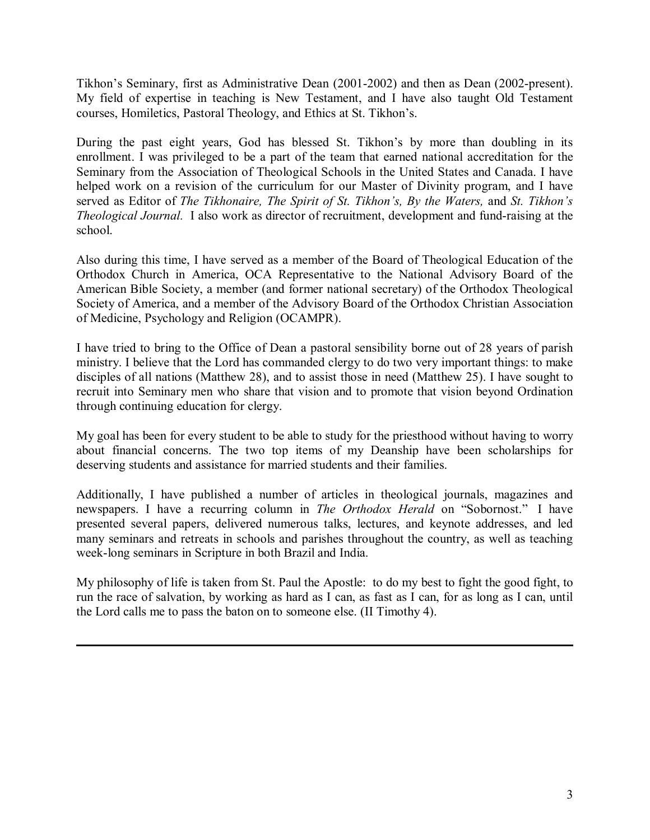Tikhon's Seminary, first as Administrative Dean (2001-2002) and then as Dean (2002-present). My field of expertise in teaching is New Testament, and I have also taught Old Testament courses, Homiletics, Pastoral Theology, and Ethics at St. Tikhon's.

During the past eight years, God has blessed St. Tikhon's by more than doubling in its enrollment. I was privileged to be a part of the team that earned national accreditation for the Seminary from the Association of Theological Schools in the United States and Canada. I have helped work on a revision of the curriculum for our Master of Divinity program, and I have served as Editor of The Tikhonaire, The Spirit of St. Tikhon's, By the Waters, and St. Tikhon's Theological Journal. I also work as director of recruitment, development and fund-raising at the school.

Also during this time, I have served as a member of the Board of Theological Education of the Orthodox Church in America, OCA Representative to the National Advisory Board of the American Bible Society, a member (and former national secretary) of the Orthodox Theological Society of America, and a member of the Advisory Board of the Orthodox Christian Association of Medicine, Psychology and Religion (OCAMPR).

I have tried to bring to the Office of Dean a pastoral sensibility borne out of 28 years of parish ministry. I believe that the Lord has commanded clergy to do two very important things: to make disciples of all nations (Matthew 28), and to assist those in need (Matthew 25). I have sought to recruit into Seminary men who share that vision and to promote that vision beyond Ordination through continuing education for clergy.

My goal has been for every student to be able to study for the priesthood without having to worry about financial concerns. The two top items of my Deanship have been scholarships for deserving students and assistance for married students and their families.

Additionally, I have published a number of articles in theological journals, magazines and newspapers. I have a recurring column in *The Orthodox Herald* on "Sobornost." I have presented several papers, delivered numerous talks, lectures, and keynote addresses, and led many seminars and retreats in schools and parishes throughout the country, as well as teaching week-long seminars in Scripture in both Brazil and India.

My philosophy of life is taken from St. Paul the Apostle: to do my best to fight the good fight, to run the race of salvation, by working as hard as I can, as fast as I can, for as long as I can, until the Lord calls me to pass the baton on to someone else. (II Timothy 4).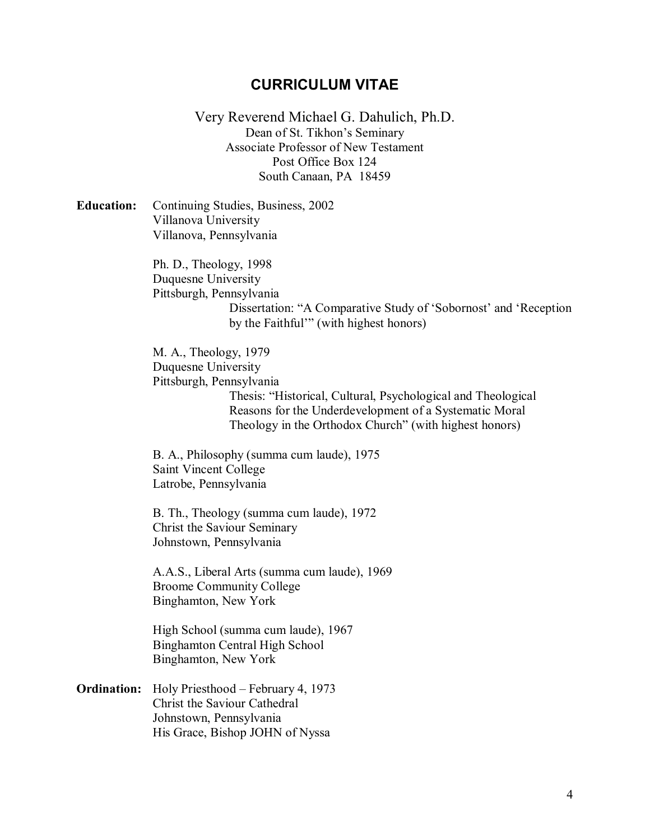# CURRICULUM VITAE

Very Reverend Michael G. Dahulich, Ph.D. Dean of St. Tikhon's Seminary Associate Professor of New Testament Post Office Box 124 South Canaan, PA 18459

Education: Continuing Studies, Business, 2002 Villanova University Villanova, Pennsylvania

> Ph. D., Theology, 1998 Duquesne University Pittsburgh, Pennsylvania Dissertation: "A Comparative Study of 'Sobornost' and 'Reception by the Faithful'" (with highest honors)

M. A., Theology, 1979 Duquesne University Pittsburgh, Pennsylvania Thesis: "Historical, Cultural, Psychological and Theological Reasons for the Underdevelopment of a Systematic Moral Theology in the Orthodox Church" (with highest honors)

B. A., Philosophy (summa cum laude), 1975 Saint Vincent College Latrobe, Pennsylvania

B. Th., Theology (summa cum laude), 1972 Christ the Saviour Seminary Johnstown, Pennsylvania

A.A.S., Liberal Arts (summa cum laude), 1969 Broome Community College Binghamton, New York

High School (summa cum laude), 1967 Binghamton Central High School Binghamton, New York

Ordination: Holy Priesthood – February 4, 1973 Christ the Saviour Cathedral Johnstown, Pennsylvania His Grace, Bishop JOHN of Nyssa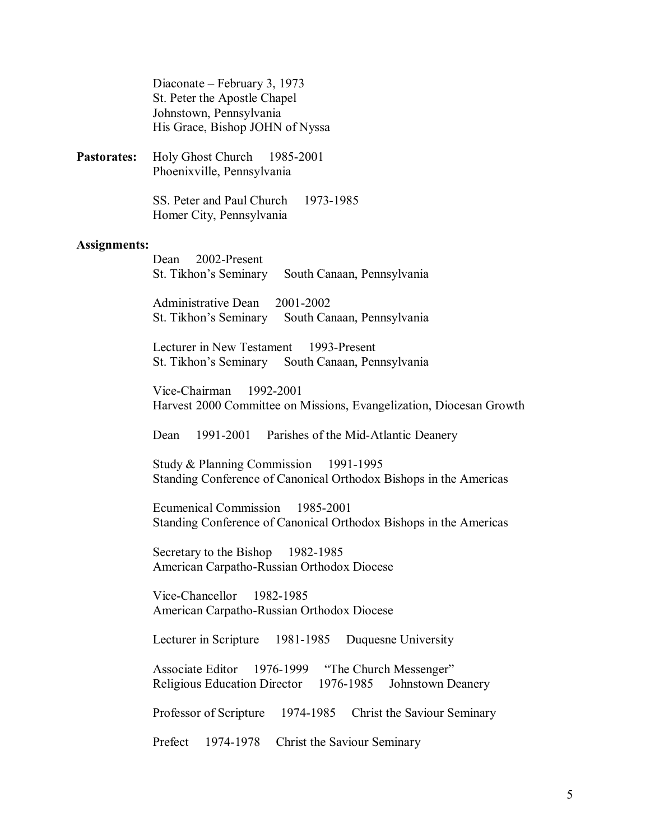Diaconate – February 3, 1973 St. Peter the Apostle Chapel Johnstown, Pennsylvania His Grace, Bishop JOHN of Nyssa

Pastorates: Holy Ghost Church 1985-2001 Phoenixville, Pennsylvania

> SS. Peter and Paul Church 1973-1985 Homer City, Pennsylvania

#### Assignments:

Dean 2002-Present St. Tikhon's Seminary South Canaan, Pennsylvania

Administrative Dean 2001-2002 St. Tikhon's Seminary South Canaan, Pennsylvania

Lecturer in New Testament 1993-Present St. Tikhon's Seminary South Canaan, Pennsylvania

Vice-Chairman 1992-2001 Harvest 2000 Committee on Missions, Evangelization, Diocesan Growth

Dean 1991-2001 Parishes of the Mid-Atlantic Deanery

Study & Planning Commission 1991-1995 Standing Conference of Canonical Orthodox Bishops in the Americas

Ecumenical Commission 1985-2001 Standing Conference of Canonical Orthodox Bishops in the Americas

Secretary to the Bishop 1982-1985 American Carpatho-Russian Orthodox Diocese

Vice-Chancellor 1982-1985 American Carpatho-Russian Orthodox Diocese

Lecturer in Scripture 1981-1985 Duquesne University

Associate Editor 1976-1999 "The Church Messenger" Religious Education Director 1976-1985 Johnstown Deanery

Professor of Scripture 1974-1985 Christ the Saviour Seminary

Prefect 1974-1978 Christ the Saviour Seminary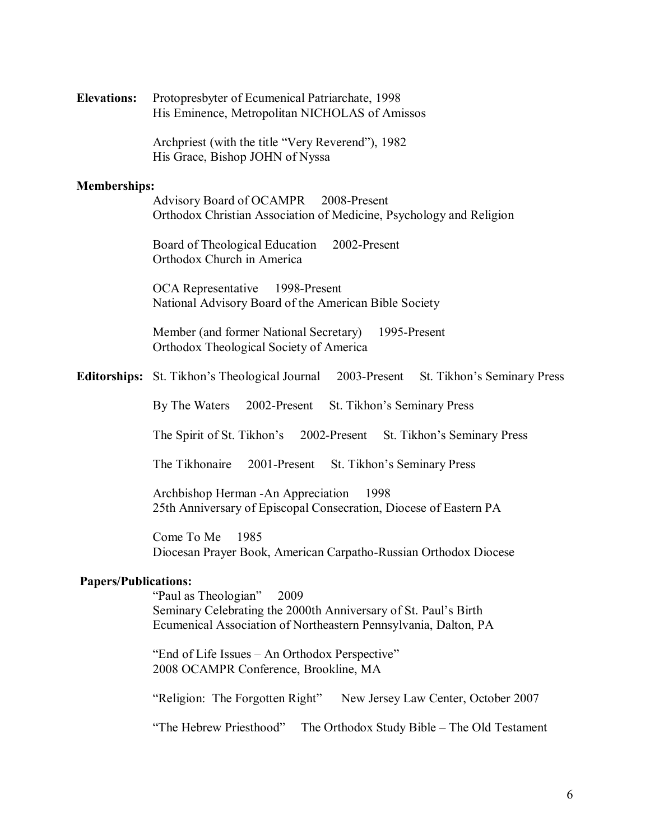| <b>Elevations:</b> | Protopresbyter of Ecumenical Patriarchate, 1998 |
|--------------------|-------------------------------------------------|
|                    | His Eminence, Metropolitan NICHOLAS of Amissos  |

Archpriest (with the title "Very Reverend"), 1982 His Grace, Bishop JOHN of Nyssa

#### Memberships:

Advisory Board of OCAMPR 2008-Present Orthodox Christian Association of Medicine, Psychology and Religion

Board of Theological Education 2002-Present Orthodox Church in America

OCA Representative 1998-Present National Advisory Board of the American Bible Society

Member (and former National Secretary) 1995-Present Orthodox Theological Society of America

Editorships: St. Tikhon's Theological Journal 2003-Present St. Tikhon's Seminary Press

By The Waters 2002-Present St. Tikhon's Seminary Press

The Spirit of St. Tikhon's 2002-Present St. Tikhon's Seminary Press

The Tikhonaire 2001-Present St. Tikhon's Seminary Press

Archbishop Herman -An Appreciation 1998 25th Anniversary of Episcopal Consecration, Diocese of Eastern PA

Come To Me 1985 Diocesan Prayer Book, American Carpatho-Russian Orthodox Diocese

## Papers/Publications:

"Paul as Theologian" 2009 Seminary Celebrating the 2000th Anniversary of St. Paul's Birth Ecumenical Association of Northeastern Pennsylvania, Dalton, PA

"End of Life Issues – An Orthodox Perspective" 2008 OCAMPR Conference, Brookline, MA

"Religion: The Forgotten Right" New Jersey Law Center, October 2007

"The Hebrew Priesthood" The Orthodox Study Bible – The Old Testament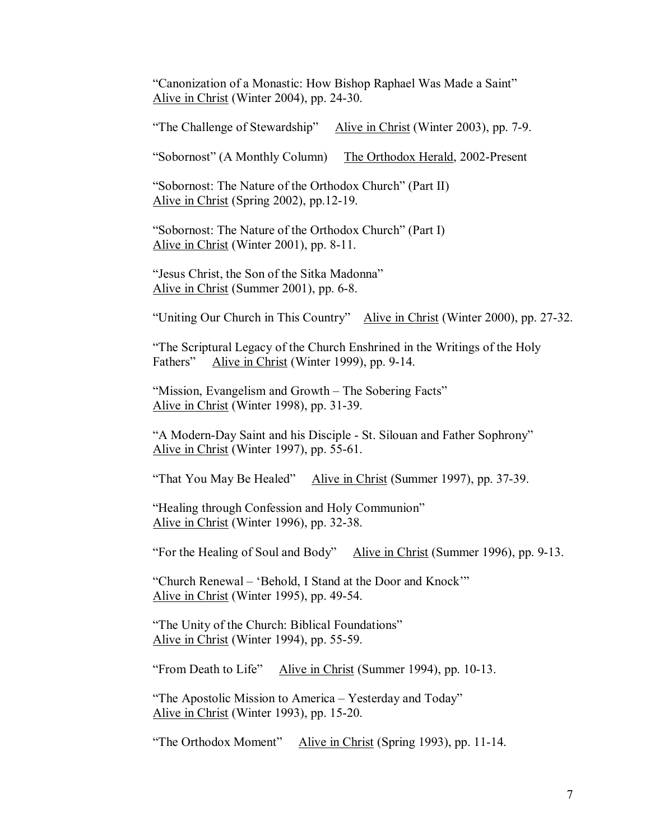"Canonization of a Monastic: How Bishop Raphael Was Made a Saint" Alive in Christ (Winter 2004), pp. 24-30.

"The Challenge of Stewardship" Alive in Christ (Winter 2003), pp. 7-9.

"Sobornost" (A Monthly Column) The Orthodox Herald, 2002-Present

"Sobornost: The Nature of the Orthodox Church" (Part II) Alive in Christ (Spring 2002), pp.12-19.

"Sobornost: The Nature of the Orthodox Church" (Part I) Alive in Christ (Winter 2001), pp. 8-11.

"Jesus Christ, the Son of the Sitka Madonna" Alive in Christ (Summer 2001), pp. 6-8.

"Uniting Our Church in This Country" Alive in Christ (Winter 2000), pp. 27-32.

"The Scriptural Legacy of the Church Enshrined in the Writings of the Holy Fathers" Alive in Christ (Winter 1999), pp. 9-14.

"Mission, Evangelism and Growth – The Sobering Facts" Alive in Christ (Winter 1998), pp. 31-39.

"A Modern-Day Saint and his Disciple - St. Silouan and Father Sophrony" Alive in Christ (Winter 1997), pp. 55-61.

"That You May Be Healed" Alive in Christ (Summer 1997), pp. 37-39.

"Healing through Confession and Holy Communion" Alive in Christ (Winter 1996), pp. 32-38.

"For the Healing of Soul and Body" Alive in Christ (Summer 1996), pp. 9-13.

"Church Renewal – 'Behold, I Stand at the Door and Knock'" Alive in Christ (Winter 1995), pp. 49-54.

"The Unity of the Church: Biblical Foundations" Alive in Christ (Winter 1994), pp. 55-59.

"From Death to Life" Alive in Christ (Summer 1994), pp. 10-13.

"The Apostolic Mission to America – Yesterday and Today" Alive in Christ (Winter 1993), pp. 15-20.

"The Orthodox Moment" Alive in Christ (Spring 1993), pp. 11-14.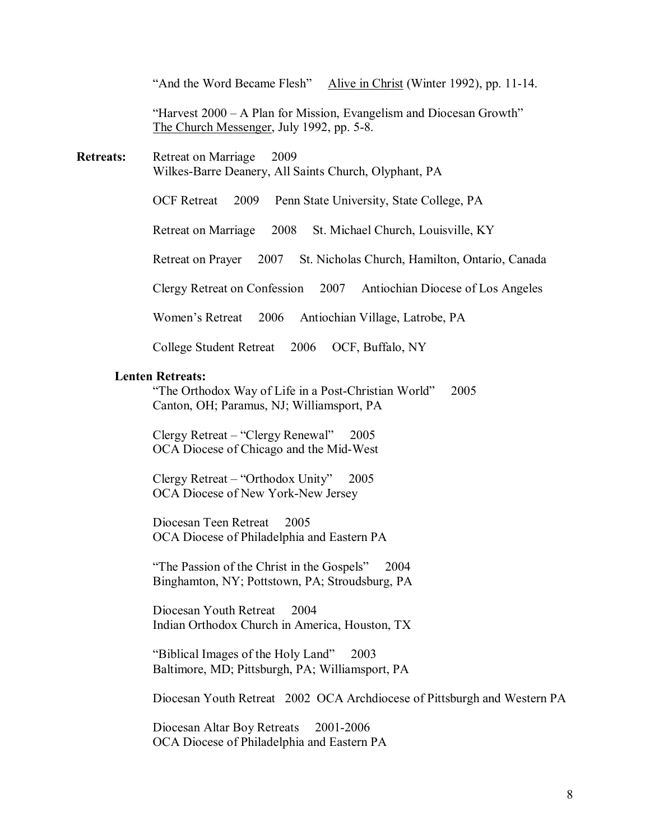"And the Word Became Flesh" Alive in Christ (Winter 1992), pp. 11-14.

"Harvest 2000 – A Plan for Mission, Evangelism and Diocesan Growth" The Church Messenger, July 1992, pp. 5-8.

Retreats: Retreat on Marriage 2009 Wilkes-Barre Deanery, All Saints Church, Olyphant, PA

OCF Retreat 2009 Penn State University, State College, PA

Retreat on Marriage 2008 St. Michael Church, Louisville, KY

Retreat on Prayer 2007 St. Nicholas Church, Hamilton, Ontario, Canada

Clergy Retreat on Confession 2007 Antiochian Diocese of Los Angeles

Women's Retreat 2006 Antiochian Village, Latrobe, PA

College Student Retreat 2006 OCF, Buffalo, NY

## Lenten Retreats:

"The Orthodox Way of Life in a Post-Christian World" 2005 Canton, OH; Paramus, NJ; Williamsport, PA

Clergy Retreat – "Clergy Renewal" 2005 OCA Diocese of Chicago and the Mid-West

Clergy Retreat – "Orthodox Unity" 2005 OCA Diocese of New York-New Jersey

Diocesan Teen Retreat 2005 OCA Diocese of Philadelphia and Eastern PA

"The Passion of the Christ in the Gospels" 2004 Binghamton, NY; Pottstown, PA; Stroudsburg, PA

Diocesan Youth Retreat 2004 Indian Orthodox Church in America, Houston, TX

"Biblical Images of the Holy Land" 2003 Baltimore, MD; Pittsburgh, PA; Williamsport, PA

Diocesan Youth Retreat 2002 OCA Archdiocese of Pittsburgh and Western PA

Diocesan Altar Boy Retreats 2001-2006 OCA Diocese of Philadelphia and Eastern PA